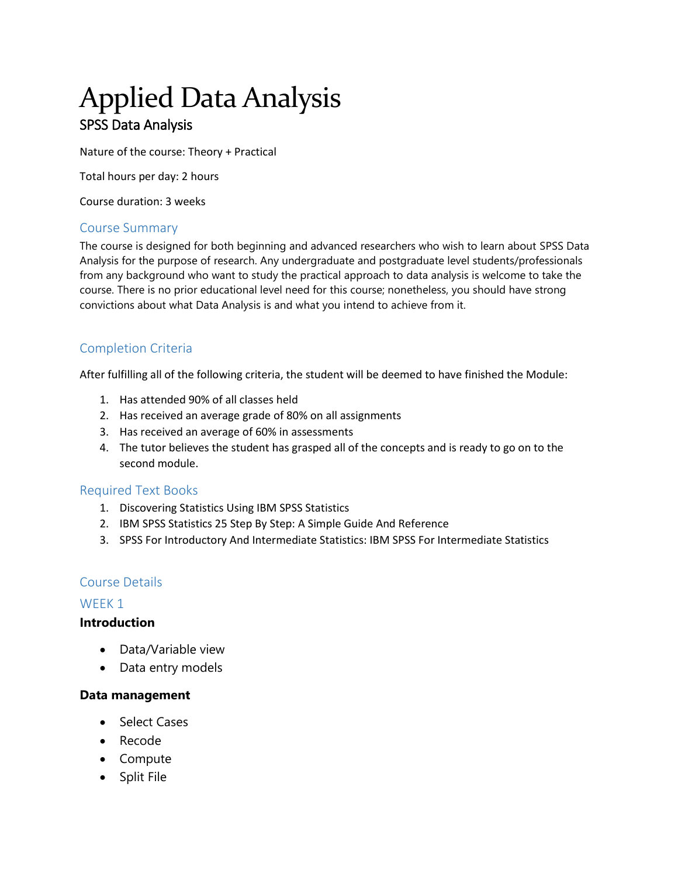# Applied Data Analysis SPSS Data Analysis

Nature of the course: Theory + Practical

Total hours per day: 2 hours

Course duration: 3 weeks

## Course Summary

The course is designed for both beginning and advanced researchers who wish to learn about SPSS Data Analysis for the purpose of research. Any undergraduate and postgraduate level students/professionals from any background who want to study the practical approach to data analysis is welcome to take the course. There is no prior educational level need for this course; nonetheless, you should have strong convictions about what Data Analysis is and what you intend to achieve from it.

# Completion Criteria

After fulfilling all of the following criteria, the student will be deemed to have finished the Module:

- 1. Has attended 90% of all classes held
- 2. Has received an average grade of 80% on all assignments
- 3. Has received an average of 60% in assessments
- 4. The tutor believes the student has grasped all of the concepts and is ready to go on to the second module.

#### Required Text Books

- 1. Discovering Statistics Using IBM SPSS Statistics
- 2. IBM SPSS Statistics 25 Step By Step: A Simple Guide And Reference
- 3. SPSS For Introductory And Intermediate Statistics: IBM SPSS For Intermediate Statistics

#### Course Details

#### WEEK 1

#### **Introduction**

- Data/Variable view
- Data entry models

#### **Data management**

- Select Cases
- Recode
- Compute
- Split File